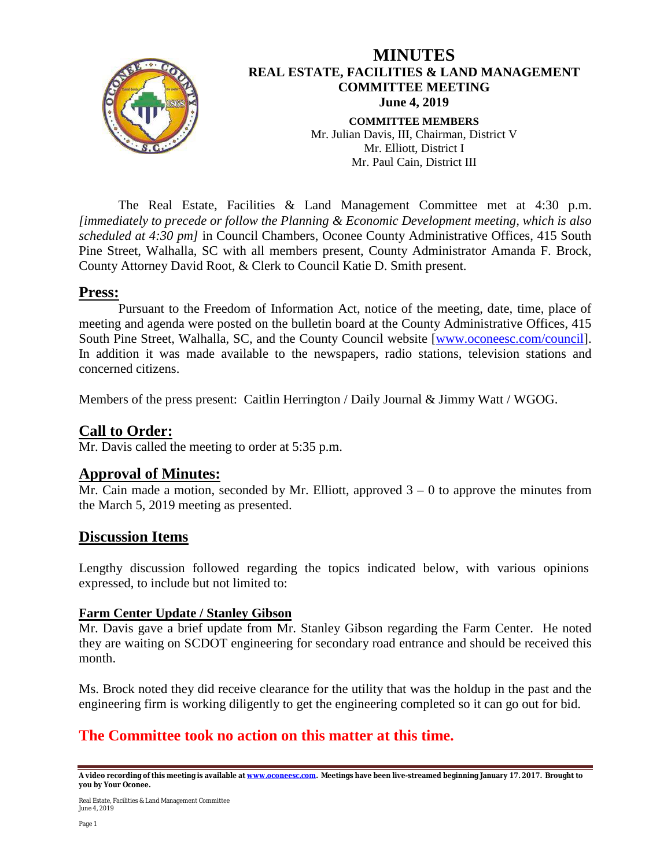

The Real Estate, Facilities & Land Management Committee met at 4:30 p.m. *[immediately to precede or follow the Planning & Economic Development meeting, which is also scheduled at 4:30 pm]* in Council Chambers, Oconee County Administrative Offices, 415 South Pine Street, Walhalla, SC with all members present, County Administrator Amanda F. Brock, County Attorney David Root, & Clerk to Council Katie D. Smith present.

#### **Press:**

Pursuant to the Freedom of Information Act, notice of the meeting, date, time, place of meeting and agenda were posted on the bulletin board at the County Administrative Offices, 415 South Pine Street, Walhalla, SC, and the County Council website [\[www.oconeesc.com/council\]](http://www.oconeesc.com/council). In addition it was made available to the newspapers, radio stations, television stations and concerned citizens.

Members of the press present: Caitlin Herrington / Daily Journal & Jimmy Watt / WGOG.

## **Call to Order:**

Mr. Davis called the meeting to order at 5:35 p.m.

## **Approval of Minutes:**

Mr. Cain made a motion, seconded by Mr. Elliott, approved  $3 - 0$  to approve the minutes from the March 5, 2019 meeting as presented.

## **Discussion Items**

Lengthy discussion followed regarding the topics indicated below, with various opinions expressed, to include but not limited to:

#### **Farm Center Update / Stanley Gibson**

Mr. Davis gave a brief update from Mr. Stanley Gibson regarding the Farm Center. He noted they are waiting on SCDOT engineering for secondary road entrance and should be received this month.

Ms. Brock noted they did receive clearance for the utility that was the holdup in the past and the engineering firm is working diligently to get the engineering completed so it can go out for bid.

## **The Committee took no action on this matter at this time.**

**A video recording of this meeting is available a[t www.oconeesc.com.](http://www.oconeesc.com/) Meetings have been live-streamed beginning January 17. 2017. Brought to you by Your Oconee.**